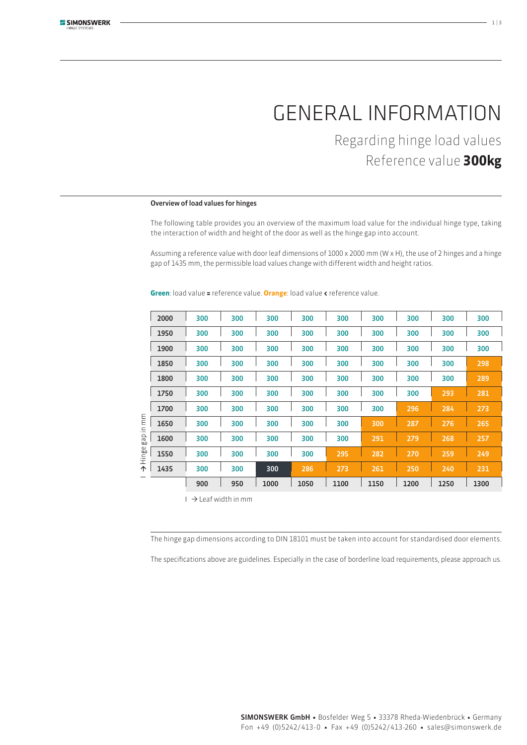# General information

Regarding hinge load values Reference value **300kg**

### Overview of load values for hinges

The following table provides you an overview of the maximum load value for the individual hinge type, taking the interaction of width and height of the door as well as the hinge gap into account.

Assuming a reference value with door leaf dimensions of 1000 x 2000 mm (W x H), the use of 2 hinges and a hinge gap of 1435 mm, the permissible load values change with different width and height ratios.

| in mm<br>gap<br>$\omega$<br>Hinge<br>个 | 2000 | 300 | 300 | 300  | 300  | 300  | 300  | 300  | 300  | 300  |
|----------------------------------------|------|-----|-----|------|------|------|------|------|------|------|
|                                        | 1950 | 300 | 300 | 300  | 300  | 300  | 300  | 300  | 300  | 300  |
|                                        | 1900 | 300 | 300 | 300  | 300  | 300  | 300  | 300  | 300  | 300  |
|                                        | 1850 | 300 | 300 | 300  | 300  | 300  | 300  | 300  | 300  | 298  |
|                                        | 1800 | 300 | 300 | 300  | 300  | 300  | 300  | 300  | 300  | 289  |
|                                        | 1750 | 300 | 300 | 300  | 300  | 300  | 300  | 300  | 293  | 281  |
|                                        | 1700 | 300 | 300 | 300  | 300  | 300  | 300  | 296  | 284  | 273  |
|                                        | 1650 | 300 | 300 | 300  | 300  | 300  | 300  | 287  | 276  | 265  |
|                                        | 1600 | 300 | 300 | 300  | 300  | 300  | 291  | 279  | 268  | 257  |
|                                        | 1550 | 300 | 300 | 300  | 300  | 295  | 282  | 270  | 259  | 249  |
|                                        | 1435 | 300 | 300 | 300  | 286  | 273  | 261  | 250  | 240  | 231  |
|                                        |      | 900 | 950 | 1000 | 1050 | 1100 | 1150 | 1200 | 1250 | 1300 |
|                                        |      |     |     |      |      |      |      |      |      |      |

**Green**: load value **=** reference value. **Orange**: load value **<** reference value.

 $\Box$   $\rightarrow$  Leaf width in mm

The hinge gap dimensions according to DIN 18101 must be taken into account for standardised door elements.

The specifications above are guidelines. Especially in the case of borderline load requirements, please approach us.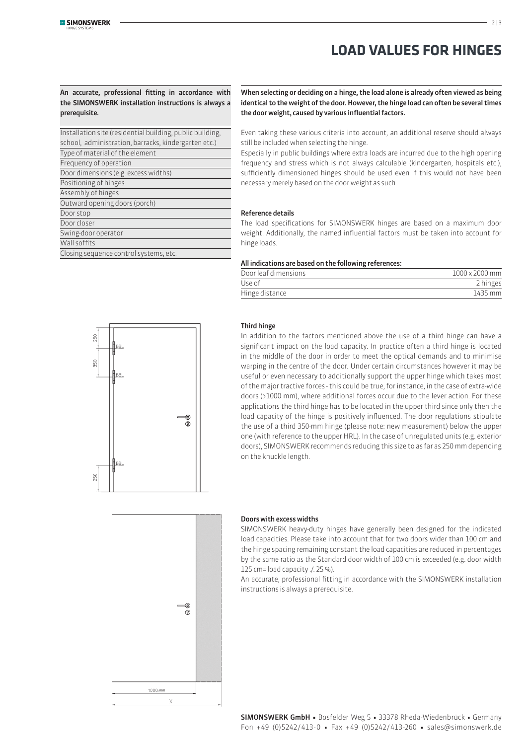## **Load values for hinges**

An accurate, professional fitting in accordance with the SIMONSWERK installation instructions is always a prerequisite.

| Installation site (residential building, public building, |  |  |  |  |  |  |  |
|-----------------------------------------------------------|--|--|--|--|--|--|--|
| school, administration, barracks, kindergarten etc.)      |  |  |  |  |  |  |  |
| Type of material of the element                           |  |  |  |  |  |  |  |
| Frequency of operation                                    |  |  |  |  |  |  |  |
| Door dimensions (e.g. excess widths)                      |  |  |  |  |  |  |  |
| Positioning of hinges                                     |  |  |  |  |  |  |  |
| Assembly of hinges                                        |  |  |  |  |  |  |  |
| Outward opening doors (porch)                             |  |  |  |  |  |  |  |
| Door stop                                                 |  |  |  |  |  |  |  |
| Door closer                                               |  |  |  |  |  |  |  |
| Swing-door operator                                       |  |  |  |  |  |  |  |
| Wall soffits                                              |  |  |  |  |  |  |  |
| Closing sequence control systems, etc.                    |  |  |  |  |  |  |  |

When selecting or deciding on a hinge, the load alone is already often viewed as being identical to the weight of the door. However, the hinge load can often be several times the door weight, caused by various influential factors.

Even taking these various criteria into account, an additional reserve should always still be included when selecting the hinge.

Especially in public buildings where extra loads are incurred due to the high opening frequency and stress which is not always calculable (kindergarten, hospitals etc.), sufficiently dimensioned hinges should be used even if this would not have been necessary merely based on the door weight as such.

### Reference details

The load specifications for SIMONSWERK hinges are based on a maximum door weight. Additionally, the named influential factors must be taken into account for hinge loads.

#### All indications are based on the following references:

| Door leaf dimensions | 1000 x 2000 mm |  |  |  |
|----------------------|----------------|--|--|--|
| Use of               | 2 hinges       |  |  |  |
| Hinge distance       | 1435 mm        |  |  |  |



### Third hinge

In addition to the factors mentioned above the use of a third hinge can have a significant impact on the load capacity. In practice often a third hinge is located in the middle of the door in order to meet the optical demands and to minimise warping in the centre of the door. Under certain circumstances however it may be useful or even necessary to additionally support the upper hinge which takes most of the major tractive forces - this could be true, for instance, in the case of extra-wide doors (>1000 mm), where additional forces occur due to the lever action. For these applications the third hinge has to be located in the upper third since only then the load capacity of the hinge is positively influenced. The door regulations stipulate the use of a third 350-mm hinge (please note: new measurement) below the upper one (with reference to the upper HRL). In the case of unregulated units (e.g. exterior doors), SIMONSWERK recommends reducing this size to as far as 250 mm depending on the knuckle length.



### Doors with excess widths

SIMONSWERK heavy-duty hinges have generally been designed for the indicated load capacities. Please take into account that for two doors wider than 100 cm and the hinge spacing remaining constant the load capacities are reduced in percentages by the same ratio as the Standard door width of 100 cm is exceeded (e.g. door width 125 cm= load capacity ./. 25 %).

An accurate, professional fitting in accordance with the SIMONSWERK installation instructions is always a prerequisite.